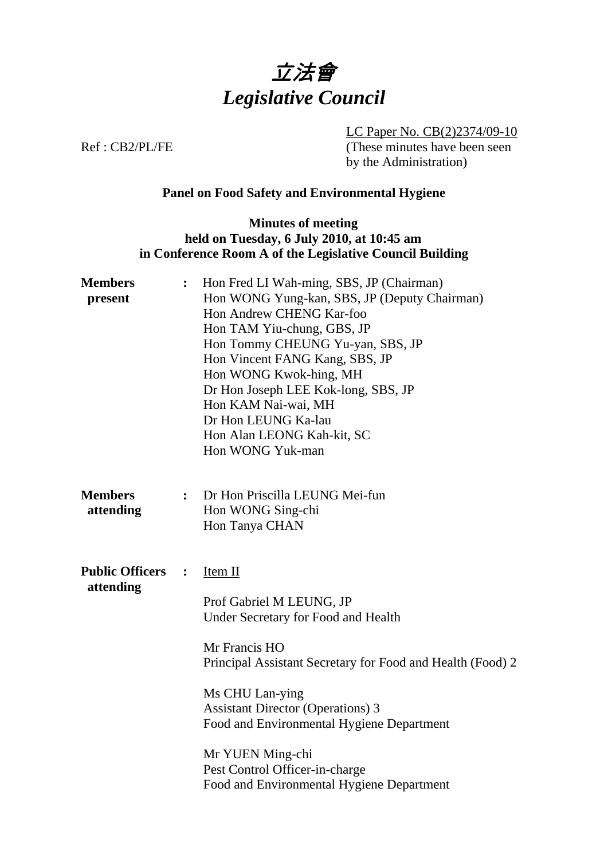

LC Paper No. CB(2)2374/09-10 Ref : CB2/PL/FE (These minutes have been seen by the Administration)

## **Panel on Food Safety and Environmental Hygiene**

## **Minutes of meeting held on Tuesday, 6 July 2010, at 10:45 am in Conference Room A of the Legislative Council Building**

| <b>Members</b><br>present           | $\ddot{\cdot}$ | Hon Fred LI Wah-ming, SBS, JP (Chairman)<br>Hon WONG Yung-kan, SBS, JP (Deputy Chairman)<br>Hon Andrew CHENG Kar-foo<br>Hon TAM Yiu-chung, GBS, JP<br>Hon Tommy CHEUNG Yu-yan, SBS, JP<br>Hon Vincent FANG Kang, SBS, JP<br>Hon WONG Kwok-hing, MH<br>Dr Hon Joseph LEE Kok-long, SBS, JP<br>Hon KAM Nai-wai, MH<br>Dr Hon LEUNG Ka-lau<br>Hon Alan LEONG Kah-kit, SC<br>Hon WONG Yuk-man |
|-------------------------------------|----------------|-------------------------------------------------------------------------------------------------------------------------------------------------------------------------------------------------------------------------------------------------------------------------------------------------------------------------------------------------------------------------------------------|
| <b>Members</b><br>attending         | $\ddot{\cdot}$ | Dr Hon Priscilla LEUNG Mei-fun<br>Hon WONG Sing-chi<br>Hon Tanya CHAN                                                                                                                                                                                                                                                                                                                     |
| <b>Public Officers</b><br>attending | $\ddot{\cdot}$ | $Item II$<br>Prof Gabriel M LEUNG, JP<br>Under Secretary for Food and Health<br>Mr Francis HO<br>Principal Assistant Secretary for Food and Health (Food) 2<br>Ms CHU Lan-ying<br><b>Assistant Director (Operations) 3</b><br>Food and Environmental Hygiene Department<br>Mr YUEN Ming-chi<br>Pest Control Officer-in-charge<br>Food and Environmental Hygiene Department                |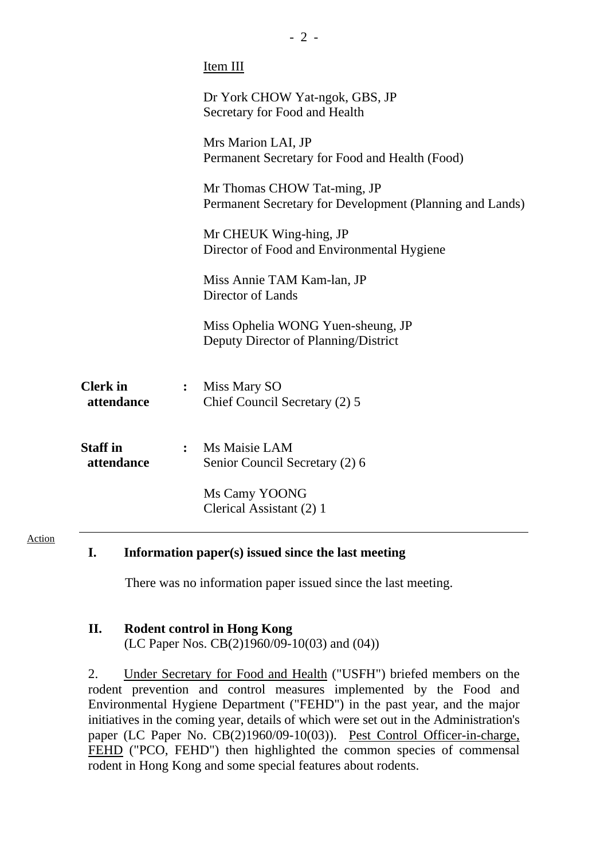|                               |                | Item III                                                                                |
|-------------------------------|----------------|-----------------------------------------------------------------------------------------|
|                               |                | Dr York CHOW Yat-ngok, GBS, JP<br>Secretary for Food and Health                         |
|                               |                | Mrs Marion LAI, JP<br>Permanent Secretary for Food and Health (Food)                    |
|                               |                | Mr Thomas CHOW Tat-ming, JP<br>Permanent Secretary for Development (Planning and Lands) |
|                               |                | Mr CHEUK Wing-hing, JP<br>Director of Food and Environmental Hygiene                    |
|                               |                | Miss Annie TAM Kam-lan, JP<br>Director of Lands                                         |
|                               |                | Miss Ophelia WONG Yuen-sheung, JP<br>Deputy Director of Planning/District               |
| <b>Clerk</b> in<br>attendance | $\ddot{\cdot}$ | Miss Mary SO<br>Chief Council Secretary (2) 5                                           |
| <b>Staff</b> in<br>attendance |                | : Ms Maisie LAM<br>Senior Council Secretary (2) 6                                       |
|                               |                | Ms Camy YOONG<br>Clerical Assistant (2) 1                                               |
|                               |                |                                                                                         |

### **I. Information paper(s) issued since the last meeting**

There was no information paper issued since the last meeting.

### **II. Rodent control in Hong Kong**

Action

(LC Paper Nos. CB(2)1960/09-10(03) and (04))

2. Under Secretary for Food and Health ("USFH") briefed members on the rodent prevention and control measures implemented by the Food and Environmental Hygiene Department ("FEHD") in the past year, and the major initiatives in the coming year, details of which were set out in the Administration's paper (LC Paper No. CB(2)1960/09-10(03)). Pest Control Officer-in-charge, FEHD ("PCO, FEHD") then highlighted the common species of commensal rodent in Hong Kong and some special features about rodents.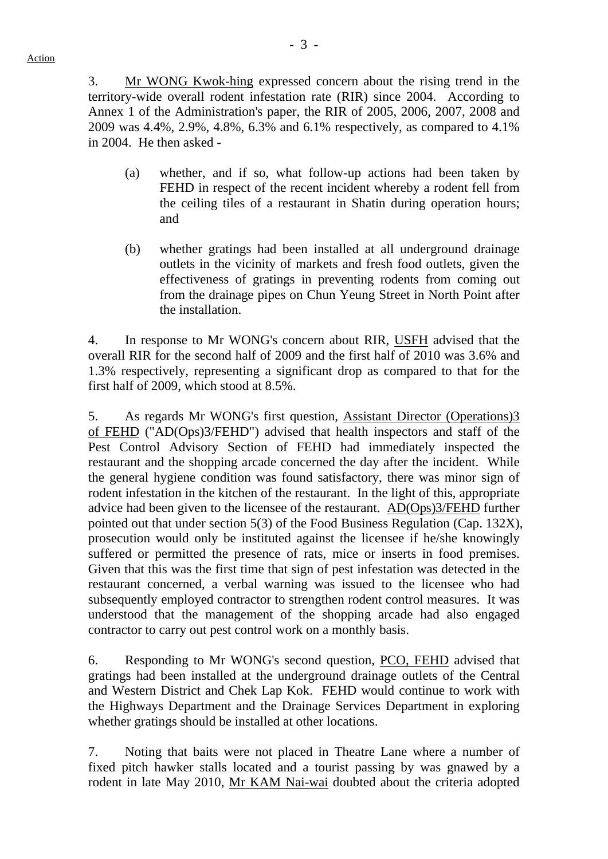3. Mr WONG Kwok-hing expressed concern about the rising trend in the territory-wide overall rodent infestation rate (RIR) since 2004. According to Annex 1 of the Administration's paper, the RIR of 2005, 2006, 2007, 2008 and 2009 was 4.4%, 2.9%, 4.8%, 6.3% and 6.1% respectively, as compared to 4.1% in 2004. He then asked -

- (a) whether, and if so, what follow-up actions had been taken by FEHD in respect of the recent incident whereby a rodent fell from the ceiling tiles of a restaurant in Shatin during operation hours; and
- (b) whether gratings had been installed at all underground drainage outlets in the vicinity of markets and fresh food outlets, given the effectiveness of gratings in preventing rodents from coming out from the drainage pipes on Chun Yeung Street in North Point after the installation.

4. In response to Mr WONG's concern about RIR, USFH advised that the overall RIR for the second half of 2009 and the first half of 2010 was 3.6% and 1.3% respectively, representing a significant drop as compared to that for the first half of 2009, which stood at 8.5%.

5. As regards Mr WONG's first question, Assistant Director (Operations)3 of FEHD ("AD(Ops)3/FEHD") advised that health inspectors and staff of the Pest Control Advisory Section of FEHD had immediately inspected the restaurant and the shopping arcade concerned the day after the incident. While the general hygiene condition was found satisfactory, there was minor sign of rodent infestation in the kitchen of the restaurant. In the light of this, appropriate advice had been given to the licensee of the restaurant. AD(Ops)3/FEHD further pointed out that under section 5(3) of the Food Business Regulation (Cap. 132X), prosecution would only be instituted against the licensee if he/she knowingly suffered or permitted the presence of rats, mice or inserts in food premises. Given that this was the first time that sign of pest infestation was detected in the restaurant concerned, a verbal warning was issued to the licensee who had subsequently employed contractor to strengthen rodent control measures. It was understood that the management of the shopping arcade had also engaged contractor to carry out pest control work on a monthly basis.

6. Responding to Mr WONG's second question, PCO, FEHD advised that gratings had been installed at the underground drainage outlets of the Central and Western District and Chek Lap Kok. FEHD would continue to work with the Highways Department and the Drainage Services Department in exploring whether gratings should be installed at other locations.

7. Noting that baits were not placed in Theatre Lane where a number of fixed pitch hawker stalls located and a tourist passing by was gnawed by a rodent in late May 2010, Mr KAM Nai-wai doubted about the criteria adopted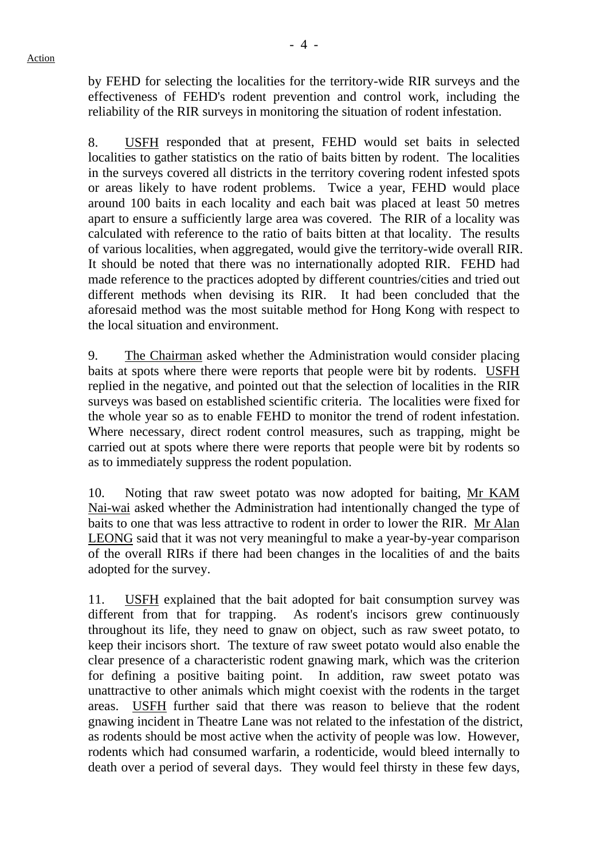by FEHD for selecting the localities for the territory-wide RIR surveys and the effectiveness of FEHD's rodent prevention and control work, including the reliability of the RIR surveys in monitoring the situation of rodent infestation.

8. USFH responded that at present, FEHD would set baits in selected localities to gather statistics on the ratio of baits bitten by rodent. The localities in the surveys covered all districts in the territory covering rodent infested spots or areas likely to have rodent problems. Twice a year, FEHD would place around 100 baits in each locality and each bait was placed at least 50 metres apart to ensure a sufficiently large area was covered. The RIR of a locality was calculated with reference to the ratio of baits bitten at that locality. The results of various localities, when aggregated, would give the territory-wide overall RIR. It should be noted that there was no internationally adopted RIR. FEHD had made reference to the practices adopted by different countries/cities and tried out different methods when devising its RIR. It had been concluded that the aforesaid method was the most suitable method for Hong Kong with respect to the local situation and environment.

9. The Chairman asked whether the Administration would consider placing baits at spots where there were reports that people were bit by rodents. USFH replied in the negative, and pointed out that the selection of localities in the RIR surveys was based on established scientific criteria. The localities were fixed for the whole year so as to enable FEHD to monitor the trend of rodent infestation. Where necessary, direct rodent control measures, such as trapping, might be carried out at spots where there were reports that people were bit by rodents so as to immediately suppress the rodent population.

10. Noting that raw sweet potato was now adopted for baiting, Mr KAM Nai-wai asked whether the Administration had intentionally changed the type of baits to one that was less attractive to rodent in order to lower the RIR. Mr Alan LEONG said that it was not very meaningful to make a year-by-year comparison of the overall RIRs if there had been changes in the localities of and the baits adopted for the survey.

11. USFH explained that the bait adopted for bait consumption survey was different from that for trapping. As rodent's incisors grew continuously throughout its life, they need to gnaw on object, such as raw sweet potato, to keep their incisors short. The texture of raw sweet potato would also enable the clear presence of a characteristic rodent gnawing mark, which was the criterion for defining a positive baiting point. In addition, raw sweet potato was unattractive to other animals which might coexist with the rodents in the target areas. USFH further said that there was reason to believe that the rodent gnawing incident in Theatre Lane was not related to the infestation of the district, as rodents should be most active when the activity of people was low. However, rodents which had consumed warfarin, a rodenticide, would bleed internally to death over a period of several days. They would feel thirsty in these few days,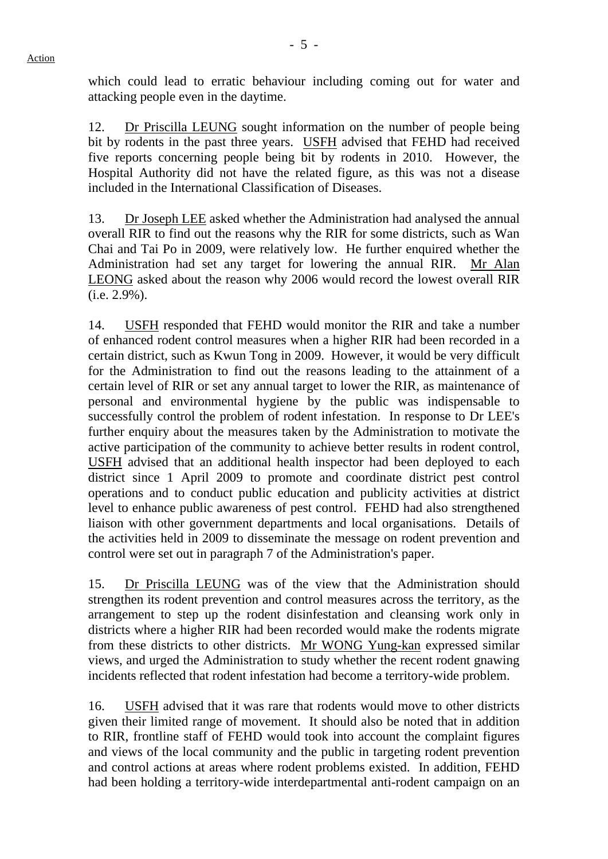which could lead to erratic behaviour including coming out for water and attacking people even in the daytime.

12. Dr Priscilla LEUNG sought information on the number of people being bit by rodents in the past three years. USFH advised that FEHD had received five reports concerning people being bit by rodents in 2010. However, the Hospital Authority did not have the related figure, as this was not a disease included in the International Classification of Diseases.

13. Dr Joseph LEE asked whether the Administration had analysed the annual overall RIR to find out the reasons why the RIR for some districts, such as Wan Chai and Tai Po in 2009, were relatively low. He further enquired whether the Administration had set any target for lowering the annual RIR. Mr Alan LEONG asked about the reason why 2006 would record the lowest overall RIR (i.e. 2.9%).

14. USFH responded that FEHD would monitor the RIR and take a number of enhanced rodent control measures when a higher RIR had been recorded in a certain district, such as Kwun Tong in 2009. However, it would be very difficult for the Administration to find out the reasons leading to the attainment of a certain level of RIR or set any annual target to lower the RIR, as maintenance of personal and environmental hygiene by the public was indispensable to successfully control the problem of rodent infestation. In response to Dr LEE's further enquiry about the measures taken by the Administration to motivate the active participation of the community to achieve better results in rodent control, USFH advised that an additional health inspector had been deployed to each district since 1 April 2009 to promote and coordinate district pest control operations and to conduct public education and publicity activities at district level to enhance public awareness of pest control. FEHD had also strengthened liaison with other government departments and local organisations. Details of the activities held in 2009 to disseminate the message on rodent prevention and control were set out in paragraph 7 of the Administration's paper.

15. Dr Priscilla LEUNG was of the view that the Administration should strengthen its rodent prevention and control measures across the territory, as the arrangement to step up the rodent disinfestation and cleansing work only in districts where a higher RIR had been recorded would make the rodents migrate from these districts to other districts. Mr WONG Yung-kan expressed similar views, and urged the Administration to study whether the recent rodent gnawing incidents reflected that rodent infestation had become a territory-wide problem.

16. USFH advised that it was rare that rodents would move to other districts given their limited range of movement. It should also be noted that in addition to RIR, frontline staff of FEHD would took into account the complaint figures and views of the local community and the public in targeting rodent prevention and control actions at areas where rodent problems existed. In addition, FEHD had been holding a territory-wide interdepartmental anti-rodent campaign on an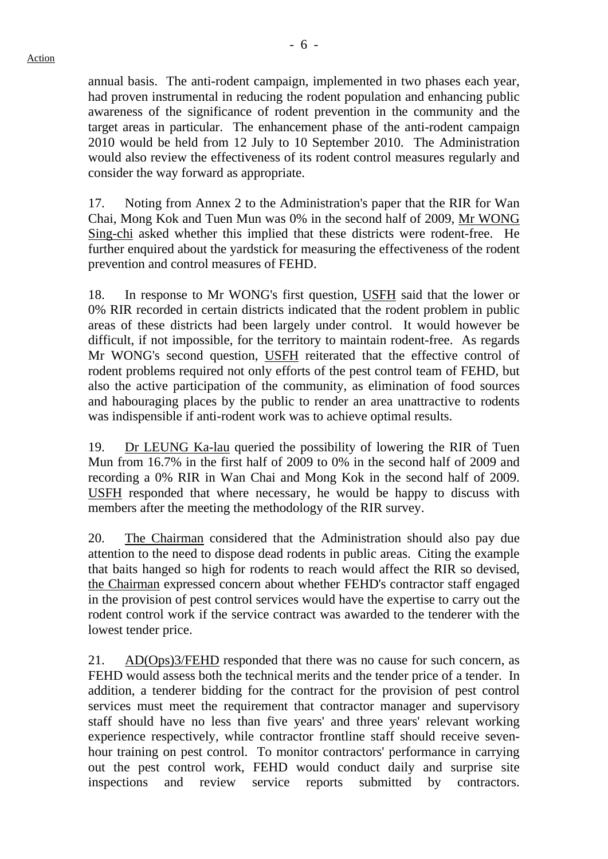annual basis. The anti-rodent campaign, implemented in two phases each year, had proven instrumental in reducing the rodent population and enhancing public awareness of the significance of rodent prevention in the community and the target areas in particular. The enhancement phase of the anti-rodent campaign 2010 would be held from 12 July to 10 September 2010. The Administration would also review the effectiveness of its rodent control measures regularly and consider the way forward as appropriate.

17. Noting from Annex 2 to the Administration's paper that the RIR for Wan Chai, Mong Kok and Tuen Mun was 0% in the second half of 2009, Mr WONG Sing-chi asked whether this implied that these districts were rodent-free. He further enquired about the yardstick for measuring the effectiveness of the rodent prevention and control measures of FEHD.

18. In response to Mr WONG's first question, USFH said that the lower or 0% RIR recorded in certain districts indicated that the rodent problem in public areas of these districts had been largely under control. It would however be difficult, if not impossible, for the territory to maintain rodent-free. As regards Mr WONG's second question, USFH reiterated that the effective control of rodent problems required not only efforts of the pest control team of FEHD, but also the active participation of the community, as elimination of food sources and habouraging places by the public to render an area unattractive to rodents was indispensible if anti-rodent work was to achieve optimal results.

19. Dr LEUNG Ka-lau queried the possibility of lowering the RIR of Tuen Mun from 16.7% in the first half of 2009 to 0% in the second half of 2009 and recording a 0% RIR in Wan Chai and Mong Kok in the second half of 2009. USFH responded that where necessary, he would be happy to discuss with members after the meeting the methodology of the RIR survey.

20. The Chairman considered that the Administration should also pay due attention to the need to dispose dead rodents in public areas. Citing the example that baits hanged so high for rodents to reach would affect the RIR so devised, the Chairman expressed concern about whether FEHD's contractor staff engaged in the provision of pest control services would have the expertise to carry out the rodent control work if the service contract was awarded to the tenderer with the lowest tender price.

21. AD(Ops)3/FEHD responded that there was no cause for such concern, as FEHD would assess both the technical merits and the tender price of a tender. In addition, a tenderer bidding for the contract for the provision of pest control services must meet the requirement that contractor manager and supervisory staff should have no less than five years' and three years' relevant working experience respectively, while contractor frontline staff should receive sevenhour training on pest control. To monitor contractors' performance in carrying out the pest control work, FEHD would conduct daily and surprise site inspections and review service reports submitted by contractors.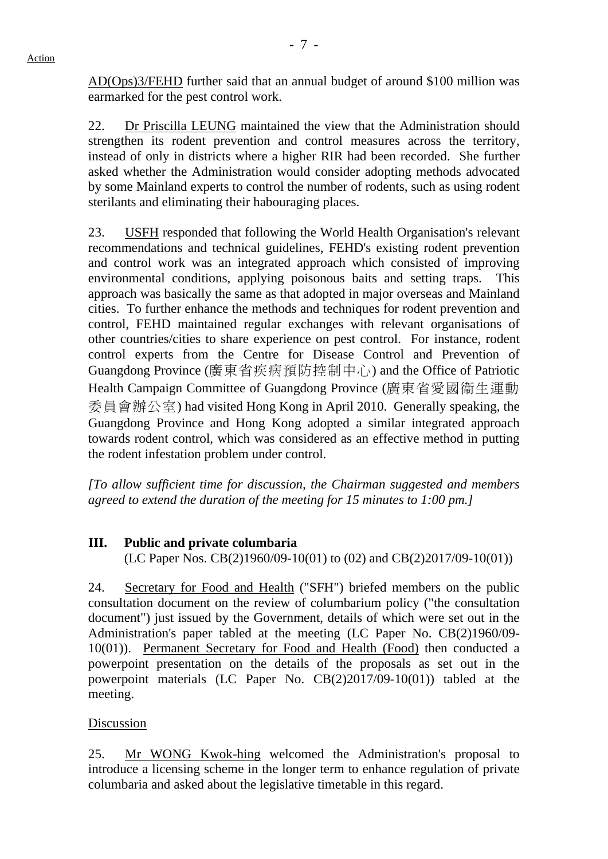AD(Ops)3/FEHD further said that an annual budget of around \$100 million was earmarked for the pest control work.

22. Dr Priscilla LEUNG maintained the view that the Administration should strengthen its rodent prevention and control measures across the territory, instead of only in districts where a higher RIR had been recorded. She further asked whether the Administration would consider adopting methods advocated by some Mainland experts to control the number of rodents, such as using rodent sterilants and eliminating their habouraging places.

23. USFH responded that following the World Health Organisation's relevant recommendations and technical guidelines, FEHD's existing rodent prevention and control work was an integrated approach which consisted of improving environmental conditions, applying poisonous baits and setting traps. This approach was basically the same as that adopted in major overseas and Mainland cities. To further enhance the methods and techniques for rodent prevention and control, FEHD maintained regular exchanges with relevant organisations of other countries/cities to share experience on pest control. For instance, rodent control experts from the Centre for Disease Control and Prevention of Guangdong Province (廣東省疾病預防控制中心) and the Office of Patriotic Health Campaign Committee of Guangdong Province (廣東省愛國衞生運動 委員會辦公室) had visited Hong Kong in April 2010. Generally speaking, the Guangdong Province and Hong Kong adopted a similar integrated approach towards rodent control, which was considered as an effective method in putting the rodent infestation problem under control.

*[To allow sufficient time for discussion, the Chairman suggested and members agreed to extend the duration of the meeting for 15 minutes to 1:00 pm.]* 

# **III. Public and private columbaria**

(LC Paper Nos. CB(2)1960/09-10(01) to (02) and CB(2)2017/09-10(01))

24. Secretary for Food and Health ("SFH") briefed members on the public consultation document on the review of columbarium policy ("the consultation document") just issued by the Government, details of which were set out in the Administration's paper tabled at the meeting (LC Paper No. CB(2)1960/09- 10(01)). Permanent Secretary for Food and Health (Food) then conducted a powerpoint presentation on the details of the proposals as set out in the powerpoint materials (LC Paper No. CB(2)2017/09-10(01)) tabled at the meeting.

### Discussion

25. Mr WONG Kwok-hing welcomed the Administration's proposal to introduce a licensing scheme in the longer term to enhance regulation of private columbaria and asked about the legislative timetable in this regard.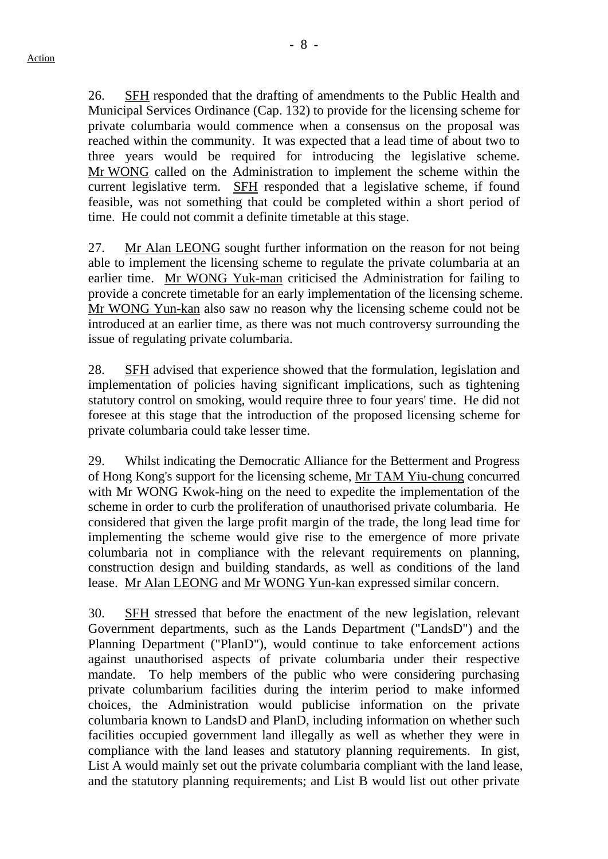26. SFH responded that the drafting of amendments to the Public Health and Municipal Services Ordinance (Cap. 132) to provide for the licensing scheme for private columbaria would commence when a consensus on the proposal was reached within the community. It was expected that a lead time of about two to three years would be required for introducing the legislative scheme. Mr WONG called on the Administration to implement the scheme within the current legislative term. SFH responded that a legislative scheme, if found feasible, was not something that could be completed within a short period of time. He could not commit a definite timetable at this stage.

27. Mr Alan LEONG sought further information on the reason for not being able to implement the licensing scheme to regulate the private columbaria at an earlier time. Mr WONG Yuk-man criticised the Administration for failing to provide a concrete timetable for an early implementation of the licensing scheme. Mr WONG Yun-kan also saw no reason why the licensing scheme could not be introduced at an earlier time, as there was not much controversy surrounding the issue of regulating private columbaria.

28. SFH advised that experience showed that the formulation, legislation and implementation of policies having significant implications, such as tightening statutory control on smoking, would require three to four years' time. He did not foresee at this stage that the introduction of the proposed licensing scheme for private columbaria could take lesser time.

29. Whilst indicating the Democratic Alliance for the Betterment and Progress of Hong Kong's support for the licensing scheme, Mr TAM Yiu-chung concurred with Mr WONG Kwok-hing on the need to expedite the implementation of the scheme in order to curb the proliferation of unauthorised private columbaria. He considered that given the large profit margin of the trade, the long lead time for implementing the scheme would give rise to the emergence of more private columbaria not in compliance with the relevant requirements on planning, construction design and building standards, as well as conditions of the land lease. Mr Alan LEONG and Mr WONG Yun-kan expressed similar concern.

30. SFH stressed that before the enactment of the new legislation, relevant Government departments, such as the Lands Department ("LandsD") and the Planning Department ("PlanD"), would continue to take enforcement actions against unauthorised aspects of private columbaria under their respective mandate. To help members of the public who were considering purchasing private columbarium facilities during the interim period to make informed choices, the Administration would publicise information on the private columbaria known to LandsD and PlanD, including information on whether such facilities occupied government land illegally as well as whether they were in compliance with the land leases and statutory planning requirements. In gist, List A would mainly set out the private columbaria compliant with the land lease, and the statutory planning requirements; and List B would list out other private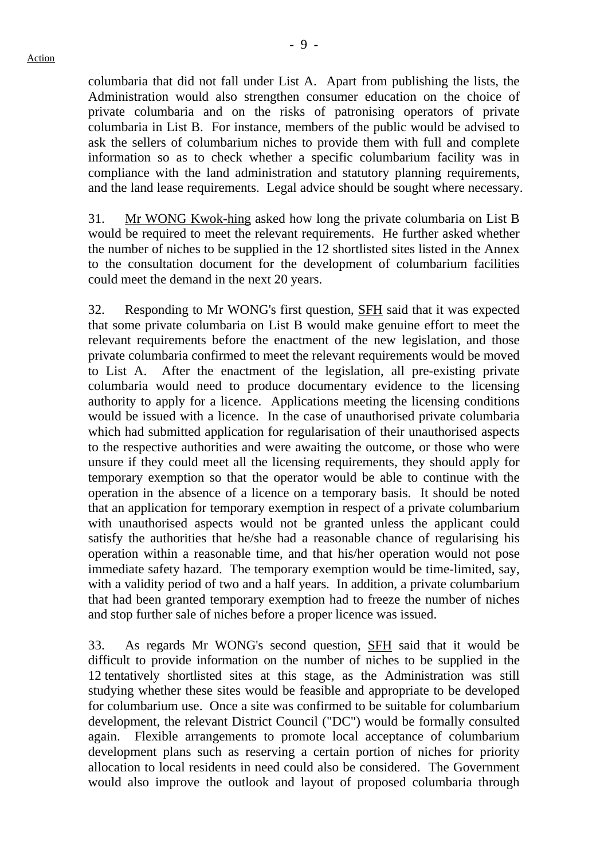columbaria that did not fall under List A. Apart from publishing the lists, the Administration would also strengthen consumer education on the choice of private columbaria and on the risks of patronising operators of private columbaria in List B. For instance, members of the public would be advised to ask the sellers of columbarium niches to provide them with full and complete information so as to check whether a specific columbarium facility was in compliance with the land administration and statutory planning requirements, and the land lease requirements. Legal advice should be sought where necessary.

31. Mr WONG Kwok-hing asked how long the private columbaria on List B would be required to meet the relevant requirements. He further asked whether the number of niches to be supplied in the 12 shortlisted sites listed in the Annex to the consultation document for the development of columbarium facilities could meet the demand in the next 20 years.

32. Responding to Mr WONG's first question, SFH said that it was expected that some private columbaria on List B would make genuine effort to meet the relevant requirements before the enactment of the new legislation, and those private columbaria confirmed to meet the relevant requirements would be moved to List A. After the enactment of the legislation, all pre-existing private columbaria would need to produce documentary evidence to the licensing authority to apply for a licence. Applications meeting the licensing conditions would be issued with a licence. In the case of unauthorised private columbaria which had submitted application for regularisation of their unauthorised aspects to the respective authorities and were awaiting the outcome, or those who were unsure if they could meet all the licensing requirements, they should apply for temporary exemption so that the operator would be able to continue with the operation in the absence of a licence on a temporary basis. It should be noted that an application for temporary exemption in respect of a private columbarium with unauthorised aspects would not be granted unless the applicant could satisfy the authorities that he/she had a reasonable chance of regularising his operation within a reasonable time, and that his/her operation would not pose immediate safety hazard. The temporary exemption would be time-limited, say, with a validity period of two and a half years. In addition, a private columbarium that had been granted temporary exemption had to freeze the number of niches and stop further sale of niches before a proper licence was issued.

33. As regards Mr WONG's second question, SFH said that it would be difficult to provide information on the number of niches to be supplied in the 12 tentatively shortlisted sites at this stage, as the Administration was still studying whether these sites would be feasible and appropriate to be developed for columbarium use. Once a site was confirmed to be suitable for columbarium development, the relevant District Council ("DC") would be formally consulted again. Flexible arrangements to promote local acceptance of columbarium development plans such as reserving a certain portion of niches for priority allocation to local residents in need could also be considered. The Government would also improve the outlook and layout of proposed columbaria through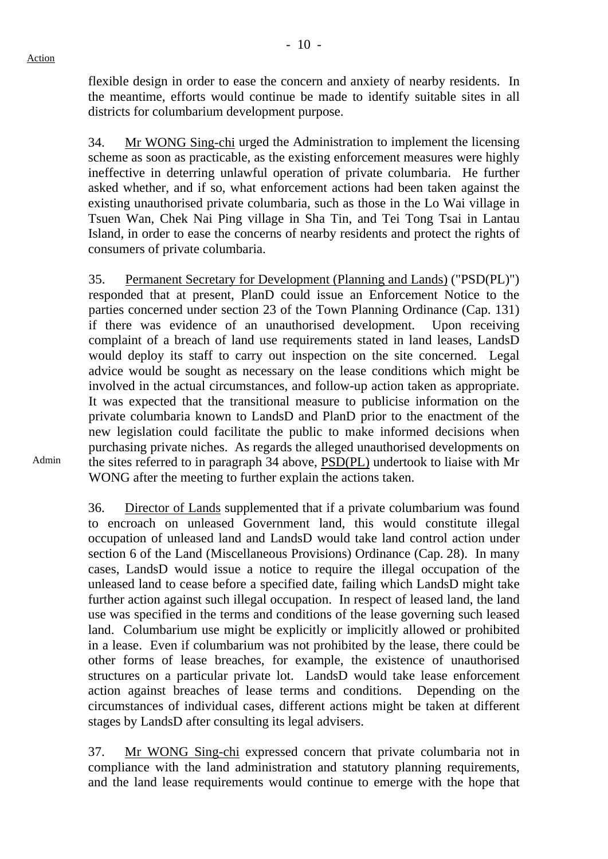flexible design in order to ease the concern and anxiety of nearby residents. In the meantime, efforts would continue be made to identify suitable sites in all districts for columbarium development purpose.

34. Mr WONG Sing-chi urged the Administration to implement the licensing scheme as soon as practicable, as the existing enforcement measures were highly ineffective in deterring unlawful operation of private columbaria. He further asked whether, and if so, what enforcement actions had been taken against the existing unauthorised private columbaria, such as those in the Lo Wai village in Tsuen Wan, Chek Nai Ping village in Sha Tin, and Tei Tong Tsai in Lantau Island, in order to ease the concerns of nearby residents and protect the rights of consumers of private columbaria.

35. Permanent Secretary for Development (Planning and Lands) ("PSD(PL)") responded that at present, PlanD could issue an Enforcement Notice to the parties concerned under section 23 of the Town Planning Ordinance (Cap. 131) if there was evidence of an unauthorised development. Upon receiving complaint of a breach of land use requirements stated in land leases, LandsD would deploy its staff to carry out inspection on the site concerned. Legal advice would be sought as necessary on the lease conditions which might be involved in the actual circumstances, and follow-up action taken as appropriate. It was expected that the transitional measure to publicise information on the private columbaria known to LandsD and PlanD prior to the enactment of the new legislation could facilitate the public to make informed decisions when purchasing private niches. As regards the alleged unauthorised developments on the sites referred to in paragraph 34 above, PSD(PL) undertook to liaise with Mr WONG after the meeting to further explain the actions taken.

Admin

36. Director of Lands supplemented that if a private columbarium was found to encroach on unleased Government land, this would constitute illegal occupation of unleased land and LandsD would take land control action under section 6 of the Land (Miscellaneous Provisions) Ordinance (Cap. 28). In many cases, LandsD would issue a notice to require the illegal occupation of the unleased land to cease before a specified date, failing which LandsD might take further action against such illegal occupation. In respect of leased land, the land use was specified in the terms and conditions of the lease governing such leased land. Columbarium use might be explicitly or implicitly allowed or prohibited in a lease. Even if columbarium was not prohibited by the lease, there could be other forms of lease breaches, for example, the existence of unauthorised structures on a particular private lot. LandsD would take lease enforcement action against breaches of lease terms and conditions. Depending on the circumstances of individual cases, different actions might be taken at different stages by LandsD after consulting its legal advisers.

37. Mr WONG Sing-chi expressed concern that private columbaria not in compliance with the land administration and statutory planning requirements, and the land lease requirements would continue to emerge with the hope that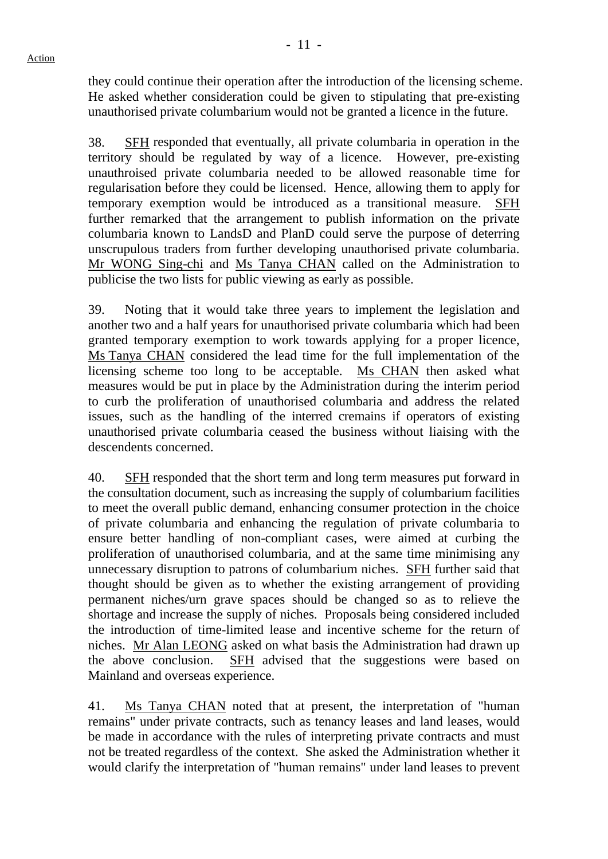they could continue their operation after the introduction of the licensing scheme. He asked whether consideration could be given to stipulating that pre-existing unauthorised private columbarium would not be granted a licence in the future.

38. SFH responded that eventually, all private columbaria in operation in the territory should be regulated by way of a licence. However, pre-existing unauthroised private columbaria needed to be allowed reasonable time for regularisation before they could be licensed. Hence, allowing them to apply for temporary exemption would be introduced as a transitional measure. SFH further remarked that the arrangement to publish information on the private columbaria known to LandsD and PlanD could serve the purpose of deterring unscrupulous traders from further developing unauthorised private columbaria. Mr WONG Sing-chi and Ms Tanya CHAN called on the Administration to publicise the two lists for public viewing as early as possible.

39. Noting that it would take three years to implement the legislation and another two and a half years for unauthorised private columbaria which had been granted temporary exemption to work towards applying for a proper licence, Ms Tanya CHAN considered the lead time for the full implementation of the licensing scheme too long to be acceptable. Ms CHAN then asked what measures would be put in place by the Administration during the interim period to curb the proliferation of unauthorised columbaria and address the related issues, such as the handling of the interred cremains if operators of existing unauthorised private columbaria ceased the business without liaising with the descendents concerned.

40. SFH responded that the short term and long term measures put forward in the consultation document, such as increasing the supply of columbarium facilities to meet the overall public demand, enhancing consumer protection in the choice of private columbaria and enhancing the regulation of private columbaria to ensure better handling of non-compliant cases, were aimed at curbing the proliferation of unauthorised columbaria, and at the same time minimising any unnecessary disruption to patrons of columbarium niches. SFH further said that thought should be given as to whether the existing arrangement of providing permanent niches/urn grave spaces should be changed so as to relieve the shortage and increase the supply of niches. Proposals being considered included the introduction of time-limited lease and incentive scheme for the return of niches. Mr Alan LEONG asked on what basis the Administration had drawn up the above conclusion. SFH advised that the suggestions were based on Mainland and overseas experience.

41. Ms Tanya CHAN noted that at present, the interpretation of "human remains" under private contracts, such as tenancy leases and land leases, would be made in accordance with the rules of interpreting private contracts and must not be treated regardless of the context. She asked the Administration whether it would clarify the interpretation of "human remains" under land leases to prevent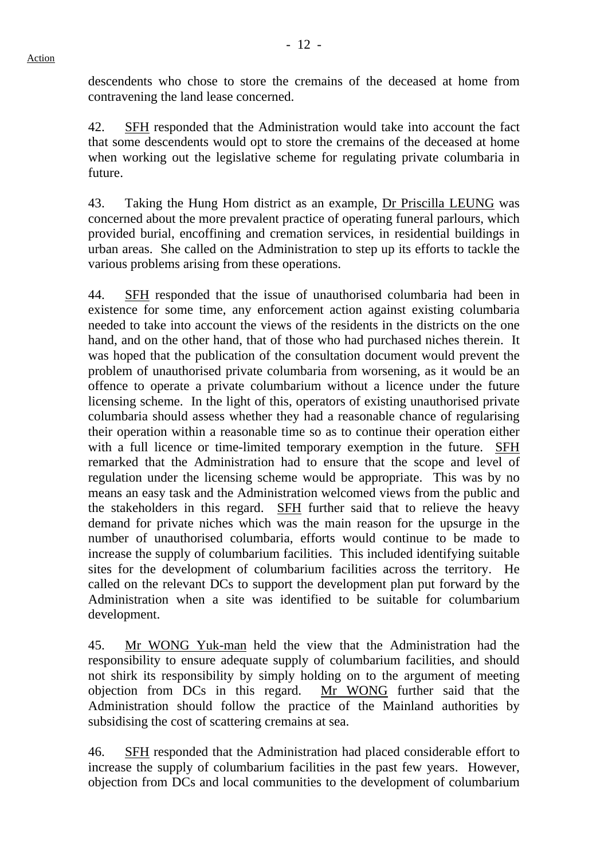descendents who chose to store the cremains of the deceased at home from contravening the land lease concerned.

42. SFH responded that the Administration would take into account the fact that some descendents would opt to store the cremains of the deceased at home when working out the legislative scheme for regulating private columbaria in future.

43. Taking the Hung Hom district as an example, Dr Priscilla LEUNG was concerned about the more prevalent practice of operating funeral parlours, which provided burial, encoffining and cremation services, in residential buildings in urban areas. She called on the Administration to step up its efforts to tackle the various problems arising from these operations.

44. SFH responded that the issue of unauthorised columbaria had been in existence for some time, any enforcement action against existing columbaria needed to take into account the views of the residents in the districts on the one hand, and on the other hand, that of those who had purchased niches therein. It was hoped that the publication of the consultation document would prevent the problem of unauthorised private columbaria from worsening, as it would be an offence to operate a private columbarium without a licence under the future licensing scheme. In the light of this, operators of existing unauthorised private columbaria should assess whether they had a reasonable chance of regularising their operation within a reasonable time so as to continue their operation either with a full licence or time-limited temporary exemption in the future. SFH remarked that the Administration had to ensure that the scope and level of regulation under the licensing scheme would be appropriate. This was by no means an easy task and the Administration welcomed views from the public and the stakeholders in this regard. SFH further said that to relieve the heavy demand for private niches which was the main reason for the upsurge in the number of unauthorised columbaria, efforts would continue to be made to increase the supply of columbarium facilities. This included identifying suitable sites for the development of columbarium facilities across the territory. He called on the relevant DCs to support the development plan put forward by the Administration when a site was identified to be suitable for columbarium development.

45. Mr WONG Yuk-man held the view that the Administration had the responsibility to ensure adequate supply of columbarium facilities, and should not shirk its responsibility by simply holding on to the argument of meeting objection from DCs in this regard. Mr WONG further said that the Administration should follow the practice of the Mainland authorities by subsidising the cost of scattering cremains at sea.

46. SFH responded that the Administration had placed considerable effort to increase the supply of columbarium facilities in the past few years. However, objection from DCs and local communities to the development of columbarium